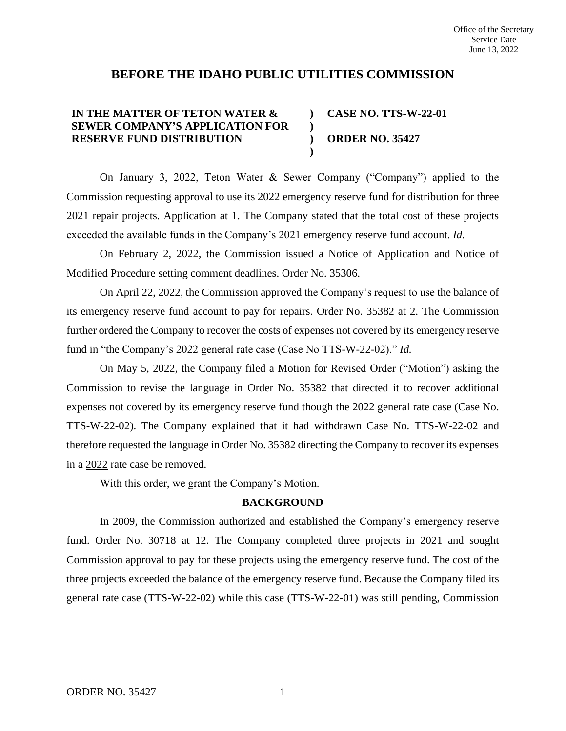# **BEFORE THE IDAHO PUBLIC UTILITIES COMMISSION**

**) )**

**)**

## **IN THE MATTER OF TETON WATER & SEWER COMPANY'S APPLICATION FOR RESERVE FUND DISTRIBUTION**

**) CASE NO. TTS-W-22-01 ORDER NO. 35427**

On January 3, 2022, Teton Water & Sewer Company ("Company") applied to the Commission requesting approval to use its 2022 emergency reserve fund for distribution for three 2021 repair projects. Application at 1. The Company stated that the total cost of these projects exceeded the available funds in the Company's 2021 emergency reserve fund account. *Id.*

On February 2, 2022, the Commission issued a Notice of Application and Notice of Modified Procedure setting comment deadlines. Order No. 35306.

On April 22, 2022, the Commission approved the Company's request to use the balance of its emergency reserve fund account to pay for repairs. Order No. 35382 at 2. The Commission further ordered the Company to recover the costs of expenses not covered by its emergency reserve fund in "the Company's 2022 general rate case (Case No TTS-W-22-02)." *Id.*

On May 5, 2022, the Company filed a Motion for Revised Order ("Motion") asking the Commission to revise the language in Order No. 35382 that directed it to recover additional expenses not covered by its emergency reserve fund though the 2022 general rate case (Case No. TTS-W-22-02). The Company explained that it had withdrawn Case No. TTS-W-22-02 and therefore requested the language in Order No. 35382 directing the Company to recover its expenses in a 2022 rate case be removed.

With this order, we grant the Company's Motion.

### **BACKGROUND**

In 2009, the Commission authorized and established the Company's emergency reserve fund. Order No. 30718 at 12. The Company completed three projects in 2021 and sought Commission approval to pay for these projects using the emergency reserve fund. The cost of the three projects exceeded the balance of the emergency reserve fund. Because the Company filed its general rate case (TTS-W-22-02) while this case (TTS-W-22-01) was still pending, Commission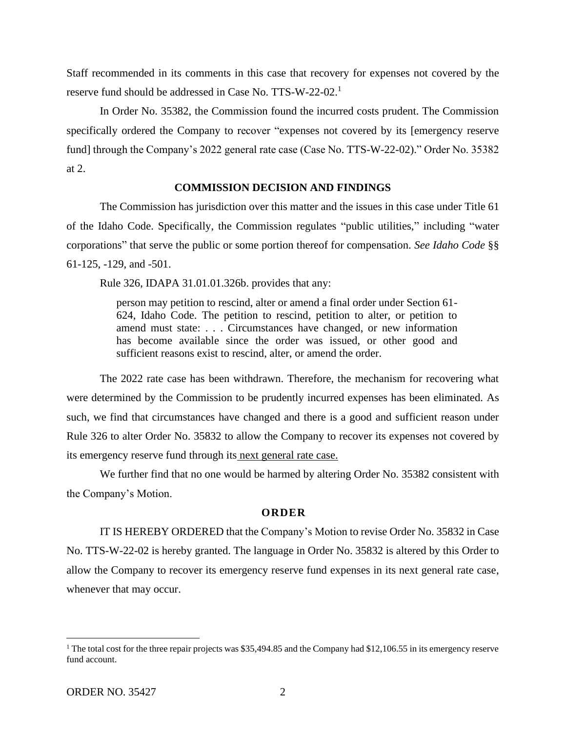Staff recommended in its comments in this case that recovery for expenses not covered by the reserve fund should be addressed in Case No. TTS-W-22-02.<sup>1</sup>

In Order No. 35382, the Commission found the incurred costs prudent. The Commission specifically ordered the Company to recover "expenses not covered by its [emergency reserve fund] through the Company's 2022 general rate case (Case No. TTS-W-22-02)." Order No. 35382 at 2.

### **COMMISSION DECISION AND FINDINGS**

The Commission has jurisdiction over this matter and the issues in this case under Title 61 of the Idaho Code. Specifically, the Commission regulates "public utilities," including "water corporations" that serve the public or some portion thereof for compensation. *See Idaho Code* §§ 61-125, -129, and -501.

Rule 326, IDAPA 31.01.01.326b. provides that any:

person may petition to rescind, alter or amend a final order under Section 61- 624, Idaho Code. The petition to rescind, petition to alter, or petition to amend must state: . . . Circumstances have changed, or new information has become available since the order was issued, or other good and sufficient reasons exist to rescind, alter, or amend the order.

The 2022 rate case has been withdrawn. Therefore, the mechanism for recovering what were determined by the Commission to be prudently incurred expenses has been eliminated. As such, we find that circumstances have changed and there is a good and sufficient reason under Rule 326 to alter Order No. 35832 to allow the Company to recover its expenses not covered by its emergency reserve fund through its next general rate case.

We further find that no one would be harmed by altering Order No. 35382 consistent with the Company's Motion.

#### **ORDER**

IT IS HEREBY ORDERED that the Company's Motion to revise Order No. 35832 in Case No. TTS-W-22-02 is hereby granted. The language in Order No. 35832 is altered by this Order to allow the Company to recover its emergency reserve fund expenses in its next general rate case, whenever that may occur.

<sup>&</sup>lt;sup>1</sup> The total cost for the three repair projects was \$35,494.85 and the Company had \$12,106.55 in its emergency reserve fund account.